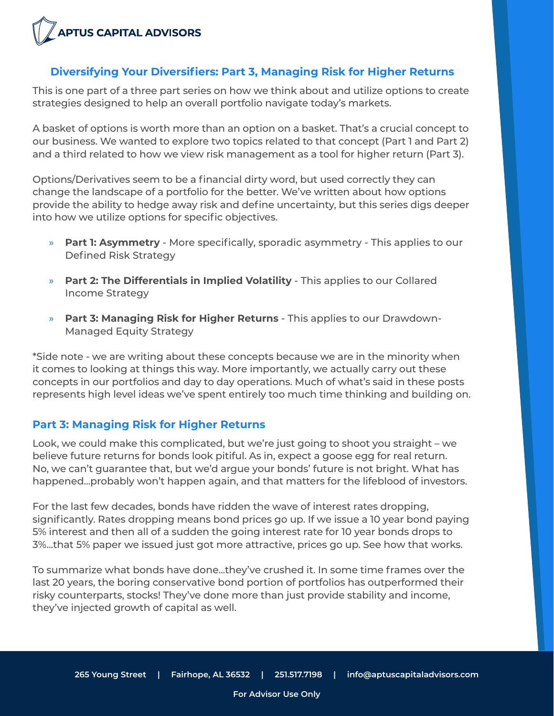

### **Diversifying Your Diversifiers: Part 3, Managing Risk for Higher Returns**

This is one part of a three part series on how we think about and utilize options to create strategies designed to help an overall portfolio navigate today's markets.

A basket of options is worth more than an option on a basket. That's a crucial concept to our business. We wanted to explore two topics related to that concept (Part 1 and Part 2) and a third related to how we view risk management as a tool for higher return (Part 3).

Options/Derivatives seem to be a financial dirty word, but used correctly they can change the landscape of a portfolio for the better. We've written about how options provide the ability to hedge away risk and define uncertainty, but this series digs deeper into how we utilize options for specific objectives.

- » **Part 1: Asymmetry** More specifically, sporadic asymmetry This applies to our Defined Risk Strategy
- » **Part 2: The Differentials in Implied Volatility** This applies to our Collared Income Strategy
- » **Part 3: Managing Risk for Higher Returns** This applies to our Drawdown-Managed Equity Strategy

\*Side note - we are writing about these concepts because we are in the minority when it comes to looking at things this way. More importantly, we actually carry out these concepts in our portfolios and day to day operations. Much of what's said in these posts represents high level ideas we've spent entirely too much time thinking and building on.

### **Part 3: Managing Risk for Higher Returns**

Look, we could make this complicated, but we're just going to shoot you straight – we believe future returns for bonds look pitiful. As in, expect a goose egg for real return. No, we can't guarantee that, but we'd argue your bonds' future is not bright. What has happened...probably won't happen again, and that matters for the lifeblood of investors.

For the last few decades, bonds have ridden the wave of interest rates dropping, significantly. Rates dropping means bond prices go up. If we issue a 10 year bond paying 5% interest and then all of a sudden the going interest rate for 10 year bonds drops to 3%...that 5% paper we issued just got more attractive, prices go up. See how that works.

To summarize what bonds have done...they've crushed it. In some time frames over the last 20 years, the boring conservative bond portion of portfolios has outperformed their risky counterparts, stocks! They've done more than just provide stability and income, they've injected growth of capital as well.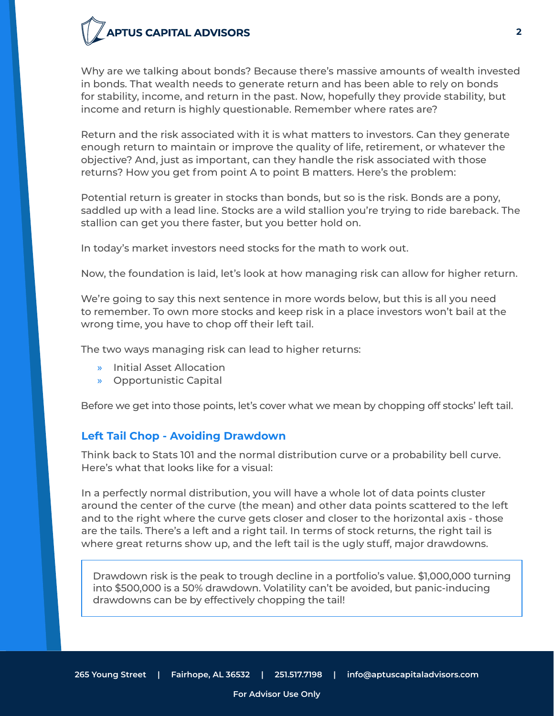Why are we talking about bonds? Because there's massive amounts of wealth invested in bonds. That wealth needs to generate return and has been able to rely on bonds for stability, income, and return in the past. Now, hopefully they provide stability, but income and return is highly questionable. Remember where rates are?

Return and the risk associated with it is what matters to investors. Can they generate enough return to maintain or improve the quality of life, retirement, or whatever the objective? And, just as important, can they handle the risk associated with those returns? How you get from point A to point B matters. Here's the problem:

Potential return is greater in stocks than bonds, but so is the risk. Bonds are a pony, saddled up with a lead line. Stocks are a wild stallion you're trying to ride bareback. The stallion can get you there faster, but you better hold on.

In today's market investors need stocks for the math to work out.

Now, the foundation is laid, let's look at how managing risk can allow for higher return.

We're going to say this next sentence in more words below, but this is all you need to remember. To own more stocks and keep risk in a place investors won't bail at the wrong time, you have to chop off their left tail.

The two ways managing risk can lead to higher returns:

- » Initial Asset Allocation
- » Opportunistic Capital

Before we get into those points, let's cover what we mean by chopping off stocks' left tail.

### **Left Tail Chop - Avoiding Drawdown**

Think back to Stats 101 and the normal distribution curve or a probability bell curve. Here's what that looks like for a visual:

In a perfectly normal distribution, you will have a whole lot of data points cluster around the center of the curve (the mean) and other data points scattered to the left and to the right where the curve gets closer and closer to the horizontal axis - those are the tails. There's a left and a right tail. In terms of stock returns, the right tail is where great returns show up, and the left tail is the ugly stuff, major drawdowns.

Drawdown risk is the peak to trough decline in a portfolio's value. \$1,000,000 turning into \$500,000 is a 50% drawdown. Volatility can't be avoided, but panic-inducing drawdowns can be by effectively chopping the tail!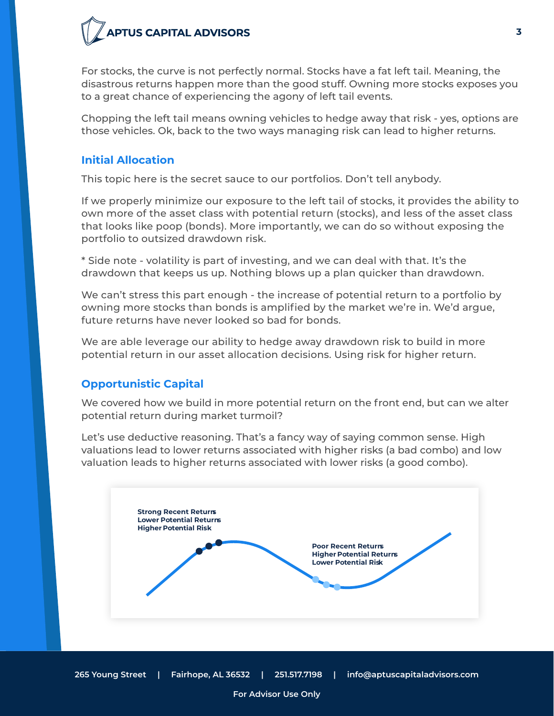For stocks, the curve is not perfectly normal. Stocks have a fat left tail. Meaning, the disastrous returns happen more than the good stuff. Owning more stocks exposes you to a great chance of experiencing the agony of left tail events.

Chopping the left tail means owning vehicles to hedge away that risk - yes, options are those vehicles. Ok, back to the two ways managing risk can lead to higher returns.

### **Initial Allocation**

This topic here is the secret sauce to our portfolios. Don't tell anybody.

If we properly minimize our exposure to the left tail of stocks, it provides the ability to own more of the asset class with potential return (stocks), and less of the asset class that looks like poop (bonds). More importantly, we can do so without exposing the portfolio to outsized drawdown risk.

\* Side note - volatility is part of investing, and we can deal with that. It's the drawdown that keeps us up. Nothing blows up a plan quicker than drawdown.

We can't stress this part enough - the increase of potential return to a portfolio by owning more stocks than bonds is amplified by the market we're in. We'd argue, future returns have never looked so bad for bonds.

We are able leverage our ability to hedge away drawdown risk to build in more potential return in our asset allocation decisions. Using risk for higher return.

## **Opportunistic Capital**

We covered how we build in more potential return on the front end, but can we alter potential return during market turmoil?

Let's use deductive reasoning. That's a fancy way of saying common sense. High valuations lead to lower returns associated with higher risks (a bad combo) and low valuation leads to higher returns associated with lower risks (a good combo).

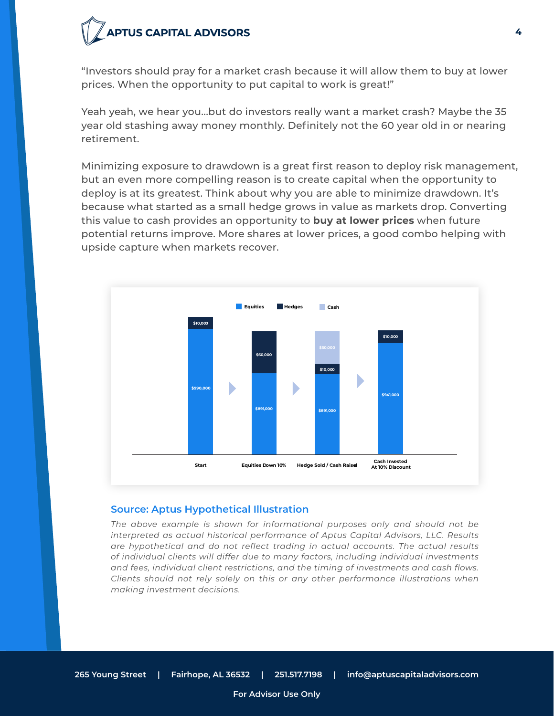"Investors should pray for a market crash because it will allow them to buy at lower prices. When the opportunity to put capital to work is great!"

Yeah yeah, we hear you...but do investors really want a market crash? Maybe the 35 year old stashing away money monthly. Definitely not the 60 year old in or nearing retirement.

Minimizing exposure to drawdown is a great first reason to deploy risk management, but an even more compelling reason is to create capital when the opportunity to deploy is at its greatest. Think about why you are able to minimize drawdown. It's because what started as a small hedge grows in value as markets drop. Converting this value to cash provides an opportunity to **buy at lower prices** when future potential returns improve. More shares at lower prices, a good combo helping with upside capture when markets recover.



#### **Source: Aptus Hypothetical Illustration**

*The above example is shown for informational purposes only and should not be interpreted as actual historical performance of Aptus Capital Advisors, LLC. Results are hypothetical and do not reflect trading in actual accounts. The actual results of individual clients will differ due to many factors, including individual investments and fees, individual client restrictions, and the timing of investments and cash flows. Clients should not rely solely on this or any other performance illustrations when making investment decisions.*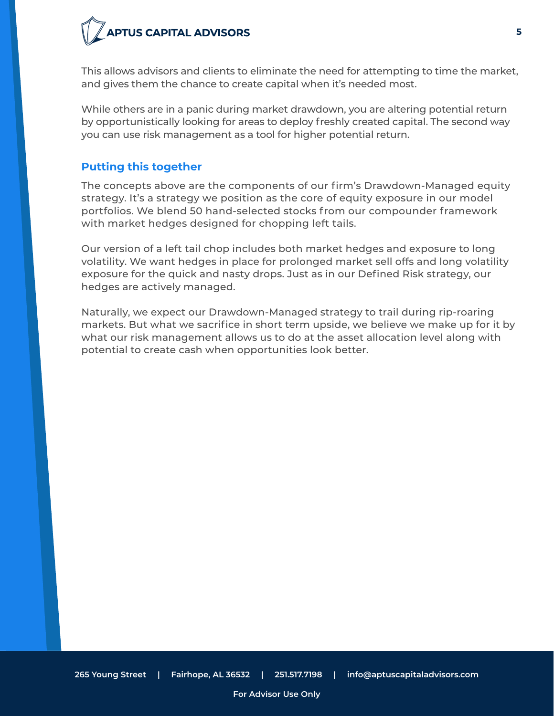This allows advisors and clients to eliminate the need for attempting to time the market, and gives them the chance to create capital when it's needed most.

While others are in a panic during market drawdown, you are altering potential return by opportunistically looking for areas to deploy freshly created capital. The second way you can use risk management as a tool for higher potential return.

### **Putting this together**

The concepts above are the components of our firm's Drawdown-Managed equity strategy. It's a strategy we position as the core of equity exposure in our model portfolios. We blend 50 hand-selected stocks from our compounder framework with market hedges designed for chopping left tails.

Our version of a left tail chop includes both market hedges and exposure to long volatility. We want hedges in place for prolonged market sell offs and long volatility exposure for the quick and nasty drops. Just as in our Defined Risk strategy, our hedges are actively managed.

Naturally, we expect our Drawdown-Managed strategy to trail during rip-roaring markets. But what we sacrifice in short term upside, we believe we make up for it by what our risk management allows us to do at the asset allocation level along with potential to create cash when opportunities look better.

**5**